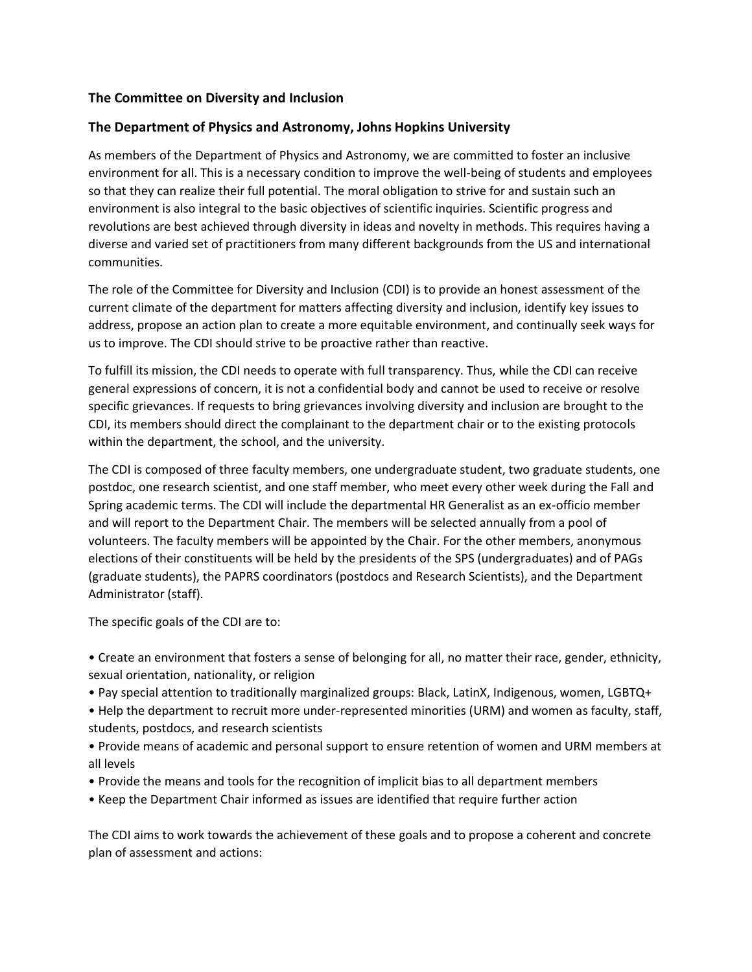## **The Committee on Diversity and Inclusion**

## **The Department of Physics and Astronomy, Johns Hopkins University**

As members of the Department of Physics and Astronomy, we are committed to foster an inclusive environment for all. This is a necessary condition to improve the well-being of students and employees so that they can realize their full potential. The moral obligation to strive for and sustain such an environment is also integral to the basic objectives of scientific inquiries. Scientific progress and revolutions are best achieved through diversity in ideas and novelty in methods. This requires having a diverse and varied set of practitioners from many different backgrounds from the US and international communities.

The role of the Committee for Diversity and Inclusion (CDI) is to provide an honest assessment of the current climate of the department for matters affecting diversity and inclusion, identify key issues to address, propose an action plan to create a more equitable environment, and continually seek ways for us to improve. The CDI should strive to be proactive rather than reactive.

To fulfill its mission, the CDI needs to operate with full transparency. Thus, while the CDI can receive general expressions of concern, it is not a confidential body and cannot be used to receive or resolve specific grievances. If requests to bring grievances involving diversity and inclusion are brought to the CDI, its members should direct the complainant to the department chair or to the existing protocols within the department, the school, and the university.

The CDI is composed of three faculty members, one undergraduate student, two graduate students, one postdoc, one research scientist, and one staff member, who meet every other week during the Fall and Spring academic terms. The CDI will include the departmental HR Generalist as an ex-officio member and will report to the Department Chair. The members will be selected annually from a pool of volunteers. The faculty members will be appointed by the Chair. For the other members, anonymous elections of their constituents will be held by the presidents of the SPS (undergraduates) and of PAGs (graduate students), the PAPRS coordinators (postdocs and Research Scientists), and the Department Administrator (staff).

The specific goals of the CDI are to:

• Create an environment that fosters a sense of belonging for all, no matter their race, gender, ethnicity, sexual orientation, nationality, or religion

- Pay special attention to traditionally marginalized groups: Black, LatinX, Indigenous, women, LGBTQ+
- Help the department to recruit more under-represented minorities (URM) and women as faculty, staff, students, postdocs, and research scientists
- Provide means of academic and personal support to ensure retention of women and URM members at all levels
- Provide the means and tools for the recognition of implicit bias to all department members
- Keep the Department Chair informed as issues are identified that require further action

The CDI aims to work towards the achievement of these goals and to propose a coherent and concrete plan of assessment and actions: